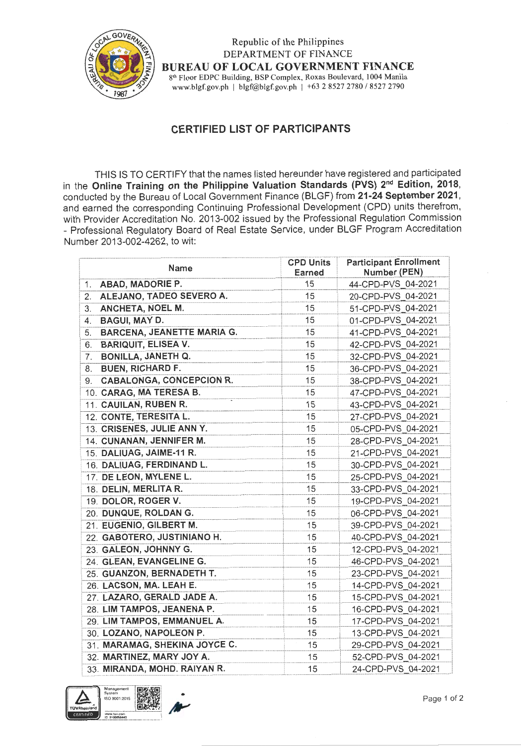

Republic of the Philippines DEPARTMENT OF FINANCE BUREAU OF LOCAL GOVERNMENT FINANCE 8'h Floor EDPC Building, BSP Complex, Roxas Boulevard, 1004 Manila www.blgf.gov.ph | blgf@blgf.gov.ph | +63 2 8527 2780 / 8527 2790

## CERTIFIED LIST OF PARTICIPANTS

THIS lS TO CERTIFY that the names listed hereunder have registered and participated in the Online Training on the Philippine Valuation Standards (PVS) 2<sup>nd</sup> Edition, 2018, conducted by the Bureau of Local Government Finance (BLGF) from 21-24 September 2021, and earned the corresponding Continuing Professional Development (CPD) units therefrom, with Provider Accreditation No. 2013-002 issued by the Professional Regulation Commission - Professional Regulatory Board of Real Estate Service, under BLGF Program Accreditation Number 2013-002-4262, to wit:

| Name                                    | <b>CPD Units</b><br><b>Earned</b> | <b>Participant Enrollment</b><br>Number (PEN) |
|-----------------------------------------|-----------------------------------|-----------------------------------------------|
| <b>ABAD, MADORIE P.</b><br>1.           | 15                                | 44-CPD-PVS 04-2021                            |
| ALEJANO, TADEO SEVERO A.<br>2.          | 15                                | 20-CPD-PVS 04-2021                            |
| ANCHETA, NOEL M.<br>3.                  | 15                                | 51-CPD-PVS 04-2021                            |
| <b>BAGUI, MAY D.</b><br>4.              | 15                                | 01-CPD-PVS 04-2021                            |
| <b>BARCENA, JEANETTE MARIA G.</b><br>5. | 15                                | 41-CPD-PVS 04-2021                            |
| <b>BARIQUIT, ELISEA V.</b><br>6.        | 15                                | 42-CPD-PVS 04-2021                            |
| <b>BONILLA, JANETH Q.</b><br>7.         | 15                                | 32-CPD-PVS 04-2021                            |
| <b>BUEN, RICHARD F.</b><br>8.           | 15                                | 36-CPD-PVS 04-2021                            |
| <b>CABALONGA, CONCEPCION R.</b><br>9.   | 15                                | 38-CPD-PVS 04-2021                            |
| 10. CARAG, MA TERESA B.                 | 15                                | 47-CPD-PVS 04-2021                            |
| 11. CAUILAN, RUBEN R.                   | 15                                | 43-CPD-PVS 04-2021                            |
| 12. CONTE, TERESITA L.                  | 15                                | 27-CPD-PVS 04-2021                            |
| 13. CRISENES, JULIE ANN Y.              | 15                                | 05-CPD-PVS 04-2021                            |
| 14. CUNANAN, JENNIFER M.                | 15                                | 28-CPD-PVS 04-2021                            |
| 15. DALIUAG, JAIME-11 R.                | 15                                | 21-CPD-PVS 04-2021                            |
| 16. DALIUAG, FERDINAND L.               | 15                                | 30-CPD-PVS 04-2021                            |
| 17. DE LEON, MYLENE L.                  | 15                                | 25-CPD-PVS 04-2021                            |
| 18. DELIN, MERLITA R.                   | 15                                | 33-CPD-PVS 04-2021                            |
| 19. DOLOR, ROGER V.                     | 15                                | 19-CPD-PVS 04-2021                            |
| 20. DUNQUE, ROLDAN G.                   | 15                                | 06-CPD-PVS 04-2021                            |
| 21. EUGENIO, GILBERT M.                 | 15                                | 39-CPD-PVS 04-2021                            |
| 22. GABOTERO, JUSTINIANO H.             | 15                                | 40-CPD-PVS 04-2021                            |
| 23. GALEON, JOHNNY G.                   | 15                                | 12-CPD-PVS 04-2021                            |
| 24. GLEAN, EVANGELINE G.                | 15                                | 46-CPD-PVS 04-2021                            |
| 25. GUANZON, BERNADETH T.               | 15                                | 23-CPD-PVS 04-2021                            |
| 26. LACSON, MA. LEAH E.                 | 15                                | 14-CPD-PVS 04-2021                            |
| 27. LAZARO, GERALD JADE A.              | 15                                | 15-CPD-PVS 04-2021                            |
| 28. LIM TAMPOS, JEANENA P.              | 15                                | 16-CPD-PVS 04-2021                            |
| 29. LIM TAMPOS, EMMANUEL A.             | 15                                | 17-CPD-PVS_04-2021                            |
| 30. LOZANO, NAPOLEON P.                 | 15                                | 13-CPD-PVS 04-2021                            |
| 31. MARAMAG, SHEKINA JOYCE C.           | 15                                | 29-CPD-PVS 04-2021                            |
| 32. MARTINEZ, MARY JOY A.               | 15                                | 52-CPD-PVS 04-2021                            |
| 33. MIRANDA, MOHD. RAIYAN R.            | 15                                | 24-CPD-PVS 04-2021                            |